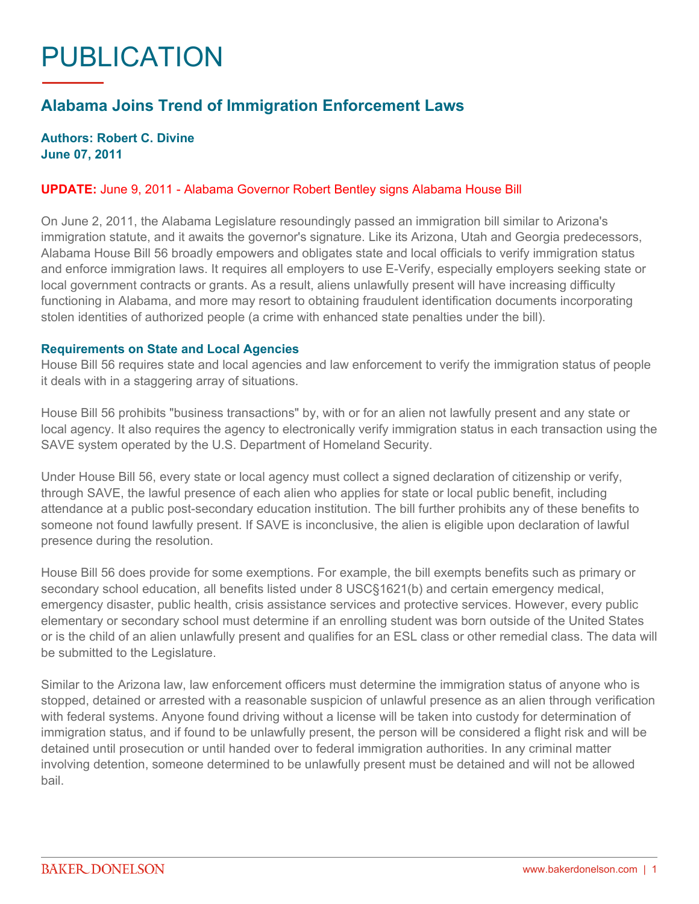# PUBLICATION

## **Alabama Joins Trend of Immigration Enforcement Laws**

### **Authors: Robert C. Divine June 07, 2011**

#### **UPDATE:** June 9, 2011 - Alabama Governor Robert Bentley signs Alabama House Bill

On June 2, 2011, the Alabama Legislature resoundingly passed an immigration bill similar to Arizona's immigration statute, and it awaits the governor's signature. Like its Arizona, Utah and Georgia predecessors, Alabama House Bill 56 broadly empowers and obligates state and local officials to verify immigration status and enforce immigration laws. It requires all employers to use E-Verify, especially employers seeking state or local government contracts or grants. As a result, aliens unlawfully present will have increasing difficulty functioning in Alabama, and more may resort to obtaining fraudulent identification documents incorporating stolen identities of authorized people (a crime with enhanced state penalties under the bill).

#### **Requirements on State and Local Agencies**

House Bill 56 requires state and local agencies and law enforcement to verify the immigration status of people it deals with in a staggering array of situations.

House Bill 56 prohibits "business transactions" by, with or for an alien not lawfully present and any state or local agency. It also requires the agency to electronically verify immigration status in each transaction using the SAVE system operated by the U.S. Department of Homeland Security.

Under House Bill 56, every state or local agency must collect a signed declaration of citizenship or verify, through SAVE, the lawful presence of each alien who applies for state or local public benefit, including attendance at a public post-secondary education institution. The bill further prohibits any of these benefits to someone not found lawfully present. If SAVE is inconclusive, the alien is eligible upon declaration of lawful presence during the resolution.

House Bill 56 does provide for some exemptions. For example, the bill exempts benefits such as primary or secondary school education, all benefits listed under 8 USC§1621(b) and certain emergency medical, emergency disaster, public health, crisis assistance services and protective services. However, every public elementary or secondary school must determine if an enrolling student was born outside of the United States or is the child of an alien unlawfully present and qualifies for an ESL class or other remedial class. The data will be submitted to the Legislature.

Similar to the Arizona law, law enforcement officers must determine the immigration status of anyone who is stopped, detained or arrested with a reasonable suspicion of unlawful presence as an alien through verification with federal systems. Anyone found driving without a license will be taken into custody for determination of immigration status, and if found to be unlawfully present, the person will be considered a flight risk and will be detained until prosecution or until handed over to federal immigration authorities. In any criminal matter involving detention, someone determined to be unlawfully present must be detained and will not be allowed bail.